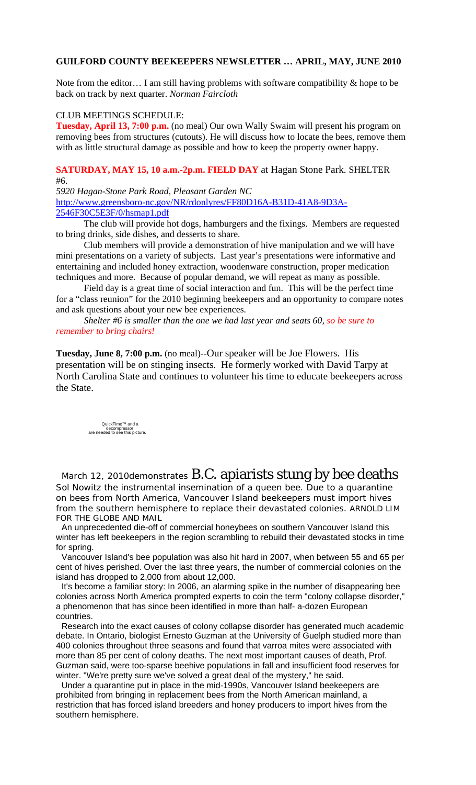## **GUILFORD COUNTY BEEKEEPERS NEWSLETTER … APRIL, MAY, JUNE 2010**

Note from the editor… I am still having problems with software compatibility & hope to be back on track by next quarter. *Norman Faircloth* 

#### CLUB MEETINGS SCHEDULE:

**Tuesday, April 13, 7:00 p.m.** (no meal) Our own Wally Swaim will present his program on removing bees from structures (cutouts). He will discuss how to locate the bees, remove them with as little structural damage as possible and how to keep the property owner happy.

### **SATURDAY, MAY 15, 10 a.m.-2p.m. FIELD DAY** at Hagan Stone Park. SHELTER #6.

*5920 Hagan-Stone Park Road, Pleasant Garden NC*  [http://www.greensboro-nc.gov/NR/rdonlyres/FF80D16A-B31D-41A8-9D3A-](http://www.greensboro-nc.gov/NR/rdonlyres/FF80D16A-B31D-41A8-9D3A-2546F30C5E3F/0/hsmap1.pdf)[2546F30C5E3F/0/hsmap1.pdf](http://www.greensboro-nc.gov/NR/rdonlyres/FF80D16A-B31D-41A8-9D3A-2546F30C5E3F/0/hsmap1.pdf)

The club will provide hot dogs, hamburgers and the fixings. Members are requested to bring drinks, side dishes, and desserts to share.

 Club members will provide a demonstration of hive manipulation and we will have mini presentations on a variety of subjects. Last year's presentations were informative and entertaining and included honey extraction, woodenware construction, proper medication techniques and more. Because of popular demand, we will repeat as many as possible.

 Field day is a great time of social interaction and fun. This will be the perfect time for a "class reunion" for the 2010 beginning beekeepers and an opportunity to compare notes and ask questions about your new bee experiences.

*Shelter #6 is smaller than the one we had last year and seats 60, so be sure to remember to bring chairs!* 

**Tuesday, June 8, 7:00 p.m.** (no meal)--Our speaker will be Joe Flowers. His presentation will be on stinging insects. He formerly worked with David Tarpy at North Carolina State and continues to volunteer his time to educate beekeepers across the State.



March 12, 2010demonstrates B.C. apiarists stung by bee deaths Sol Nowitz the instrumental insemination of a queen bee. Due to a quarantine on bees from North America, Vancouver Island beekeepers must import hives from the southern hemisphere to replace their devastated colonies. ARNOLD LIM FOR THE GLOBE AND MAIL

An unprecedented die-off of commercial honeybees on southern Vancouver Island this winter has left beekeepers in the region scrambling to rebuild their devastated stocks in time for spring.

Vancouver Island's bee population was also hit hard in 2007, when between 55 and 65 per cent of hives perished. Over the last three years, the number of commercial colonies on the island has dropped to 2,000 from about 12,000.

It's become a familiar story: In 2006, an alarming spike in the number of disappearing bee colonies across North America prompted experts to coin the term "colony collapse disorder," a phenomenon that has since been identified in more than half- a-dozen European countries.

Research into the exact causes of colony collapse disorder has generated much academic debate. In Ontario, biologist Ernesto Guzman at the University of Guelph studied more than 400 colonies throughout three seasons and found that varroa mites were associated with more than 85 per cent of colony deaths. The next most important causes of death, Prof. Guzman said, were too-sparse beehive populations in fall and insufficient food reserves for winter. "We're pretty sure we've solved a great deal of the mystery," he said.

Under a quarantine put in place in the mid-1990s, Vancouver Island beekeepers are prohibited from bringing in replacement bees from the North American mainland, a restriction that has forced island breeders and honey producers to import hives from the southern hemisphere.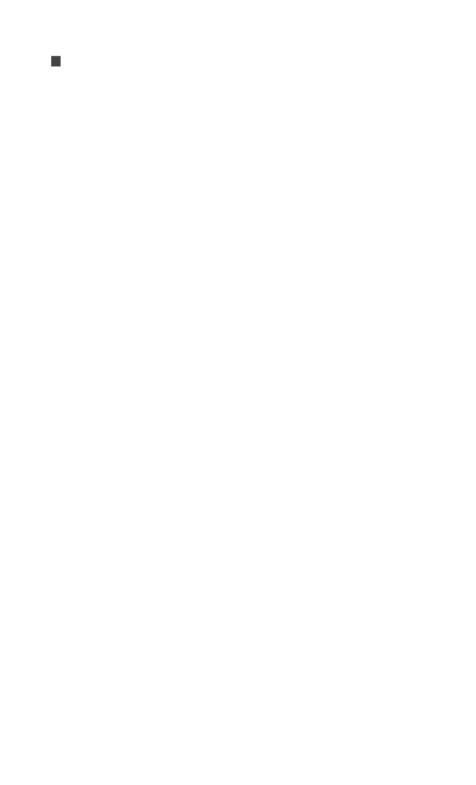$\mathbb{R}^2$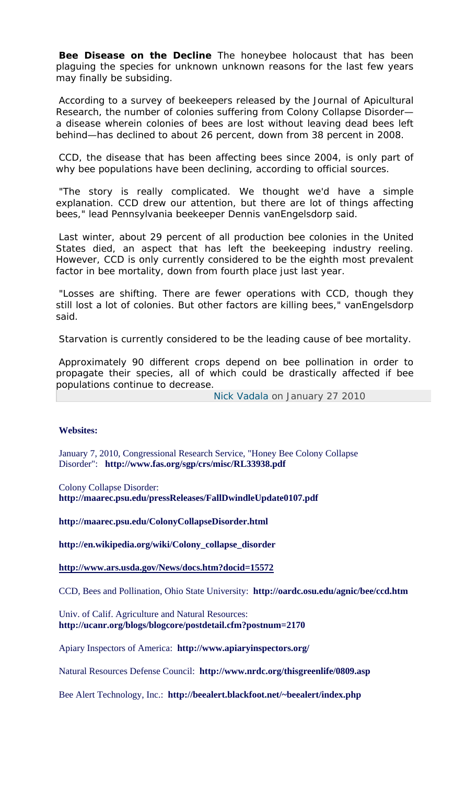**Bee Disease on the Decline** The honeybee holocaust that has been plaguing the species for unknown unknown reasons for the last few years may finally be subsiding.

According to a survey of beekeepers released by the Journal of Apicultural Research, the number of colonies suffering from Colony Collapse Disorder a disease wherein colonies of bees are lost without leaving dead bees left behind—has declined to about 26 percent, down from 38 percent in 2008.

CCD, the disease that has been affecting bees since 2004, is only part of why bee populations have been declining, according to official sources.

"The story is really complicated. We thought we'd have a simple explanation. CCD drew our attention, but there are lot of things affecting bees," lead Pennsylvania beekeeper Dennis vanEngelsdorp said.

Last winter, about 29 percent of all production bee colonies in the United States died, an aspect that has left the beekeeping industry reeling. However, CCD is only currently considered to be the eighth most prevalent factor in bee mortality, down from fourth place just last year.

"Losses are shifting. There are fewer operations with CCD, though they still lost a lot of colonies. But other factors are killing bees," vanEngelsdorp said.

Starvation is currently considered to be the leading cause of bee mortality.

Approximately 90 different crops depend on bee pollination in order to propagate their species, all of which could be drastically affected if bee populations continue to decrease.

[Nick Vadala](http://www.tothecenter.com/profile.php?lookup=2634) on January 27 2010

### **Websites:**

January 7, 2010, Congressional Research Service, "Honey Bee Colony Collapse Disorder":**<http://www.fas.org/sgp/crs/misc/RL33938.pdf>**

Colony Collapse Disorder: **<http://maarec.psu.edu/pressReleases/FallDwindleUpdate0107.pdf>**

**<http://maarec.psu.edu/ColonyCollapseDisorder.html>**

**[http://en.wikipedia.org/wiki/Colony\\_collapse\\_disorder](http://en.wikipedia.org/wiki/Colony_collapse_disorder)**

**<http://www.ars.usda.gov/News/docs.htm?docid=15572>**

CCD, Bees and Pollination, Ohio State University: **<http://oardc.osu.edu/agnic/bee/ccd.htm>**

Univ. of Calif. Agriculture and Natural Resources: **<http://ucanr.org/blogs/blogcore/postdetail.cfm?postnum=2170>**

Apiary Inspectors of America: **<http://www.apiaryinspectors.org/>**

Natural Resources Defense Council: **<http://www.nrdc.org/thisgreenlife/0809.asp>**

Bee Alert Technology, Inc.: **[http://beealert.blackfoot.net/~beealert/index.php](http://beealert.blackfoot.net/%7Ebeealert/index.php)**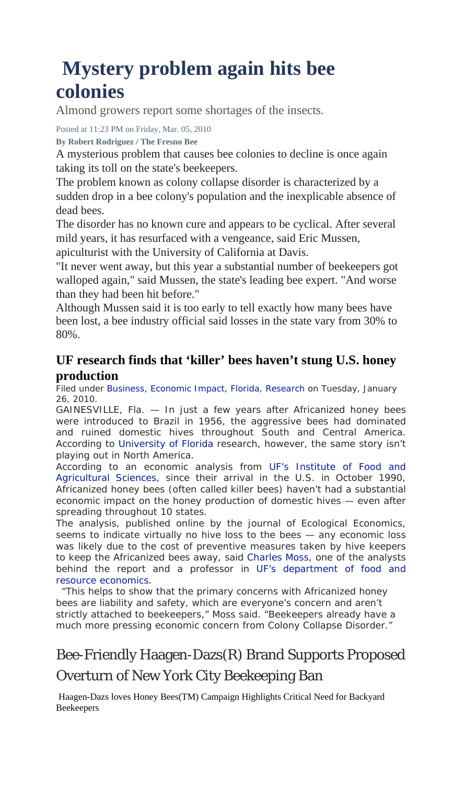# **<sup>B</sup>Mystery problem again hits bee colonies**

Almond growers report some shortages of the insects.

Posted at 11:23 PM on Friday, Mar. 05, 2010

**By Robert Rodriguez / The Fresno Bee**

A mysterious problem that causes bee colonies to decline is once again taking its toll on the state's beekeepers.

The problem known as colony collapse disorder is characterized by a sudden drop in a bee colony's population and the inexplicable absence of dead bees.

The disorder has no known cure and appears to be cyclical. After several mild years, it has resurfaced with a vengeance, said Eric Mussen, apiculturist with the University of California at Davis.

"It never went away, but this year a substantial number of beekeepers got walloped again," said Mussen, the state's leading bee expert. "And worse than they had been hit before."

Although Mussen said it is too early to tell exactly how many bees have been lost, a bee industry official said losses in the state vary from 30% to 80%.**ee Disease on the Decline Bee Disease on the Decline**

## **UF research finds that 'killer' bees haven't stung U.S. honey production**

Filed under [Business,](http://news.ufl.edu/research/business/) [Economic Impact,](http://news.ufl.edu/economic-impact/) [Florida,](http://news.ufl.edu/research/florida/) [Research](http://news.ufl.edu/research/) on Tuesday, January 26, 2010.

GAINESVILLE, Fla. — In just a few years after Africanized honey bees were introduced to Brazil in 1956, the aggressive bees had dominated and ruined domestic hives throughout South and Central America. According to [University of Florida](http://www.ufl.edu/) research, however, the same story isn't playing out in North America.

According to an economic analysis from [UF's Institute of Food and](http://www.ifas.ufl.edu/)  [Agricultural Sciences](http://www.ifas.ufl.edu/), since their arrival in the U.S. in October 1990, Africanized honey bees (often called killer bees) haven't had a substantial economic impact on the honey production of domestic hives — even after spreading throughout 10 states.

The analysis, published online by the journal of Ecological Economics, seems to indicate virtually no hive loss to the bees — any economic loss was likely due to the cost of preventive measures taken by hive keepers to keep the Africanized bees away, said [Charles Moss](http://ricardo.ifas.ufl.edu/chuckhmpge.html), one of the analysts behind the report and a professor in [UF's department of food and](http://www.fred.ifas.ufl.edu/index.php)  [resource economics](http://www.fred.ifas.ufl.edu/index.php).

"This helps to show that the primary concerns with Africanized honey bees are liability and safety, which are everyone's concern and aren't strictly attached to beekeepers," Moss said. "Beekeepers already have a much more pressing economic concern from Colony Collapse Disorder."

## Bee-Friendly Haagen-Dazs(R) Brand Supports Proposed Overturn of New York City Beekeeping Ban

Haagen-Dazs loves Honey Bees(TM) Campaign Highlights Critical Need for Backyard Beekeepers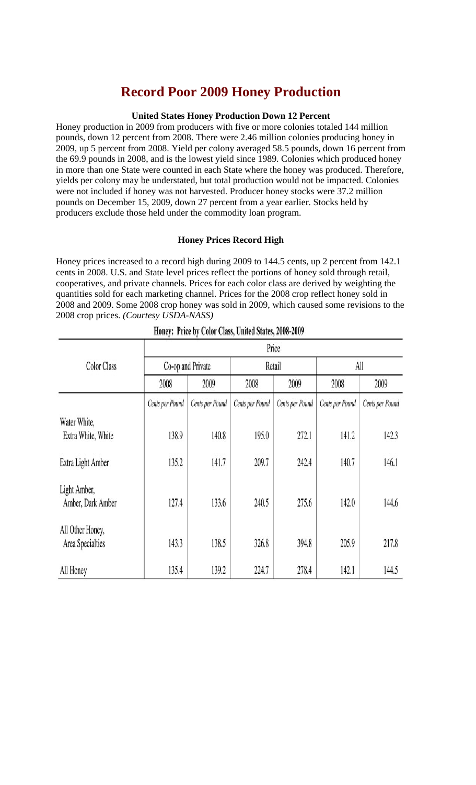## **Record Poor 2009 Honey Production**

## **United States Honey Production Down 12 Percent**

Honey production in 2009 from producers with five or more colonies totaled 144 million pounds, down 12 percent from 2008. There were 2.46 million colonies producing honey in 2009, up 5 percent from 2008. Yield per colony averaged 58.5 pounds, down 16 percent from the 69.9 pounds in 2008, and is the lowest yield since 1989. Colonies which produced honey in more than one State were counted in each State where the honey was produced. Therefore, yields per colony may be understated, but total production would not be impacted. Colonies were not included if honey was not harvested. Producer honey stocks were 37.2 million pounds on December 15, 2009, down 27 percent from a year earlier. Stocks held by producers exclude those held under the commodity loan program.

## **Honey Prices Record High**

Honey prices increased to a record high during 2009 to 144.5 cents, up 2 percent from 142.1 cents in 2008. U.S. and State level prices reflect the portions of honey sold through retail, cooperatives, and private channels. Prices for each color class are derived by weighting the quantities sold for each marketing channel. Prices for the 2008 crop reflect honey sold in 2008 and 2009. Some 2008 crop honey was sold in 2009, which caused some revisions to the 2008 crop prices. *(Courtesy USDA-NASS)* 

|                                      | Price             |                 |                 |                 |                 |                 |  |  |
|--------------------------------------|-------------------|-----------------|-----------------|-----------------|-----------------|-----------------|--|--|
| <b>Color Class</b>                   | Co-op and Private |                 |                 | Retail          | All             |                 |  |  |
|                                      | 2008              | 2009            | 2008            | 2009            | 2008            | 2009            |  |  |
|                                      | Cents per Pound   | Cents per Pound | Cents per Pound | Cents per Pound | Cents per Pound | Cents per Pound |  |  |
| Water White,<br>Extra White, White   | 138.9             | 140.8           | 195.0           | 272.1           | 141.2           | 142.3           |  |  |
| Extra Light Amber                    | 135.2             | 141.7           | 209.7           | 242.4           | 140.7           | 146.1           |  |  |
| Light Amber,<br>Amber, Dark Amber    | 127.4             | 133.6           | 240.5           | 275.6           | 142.0           | 144.6           |  |  |
| All Other Honey,<br>Area Specialties | 143.3             | 138.5           | 326.8           | 394.8           | 205.9           | 217.8           |  |  |
| All Honey                            | 135.4             | 139.2           | 224.7           | 278.4           | 142.1           | 144.5           |  |  |

| Honey: Price by Color Class, United States, 2008-2009 |  |  |  |
|-------------------------------------------------------|--|--|--|
|-------------------------------------------------------|--|--|--|